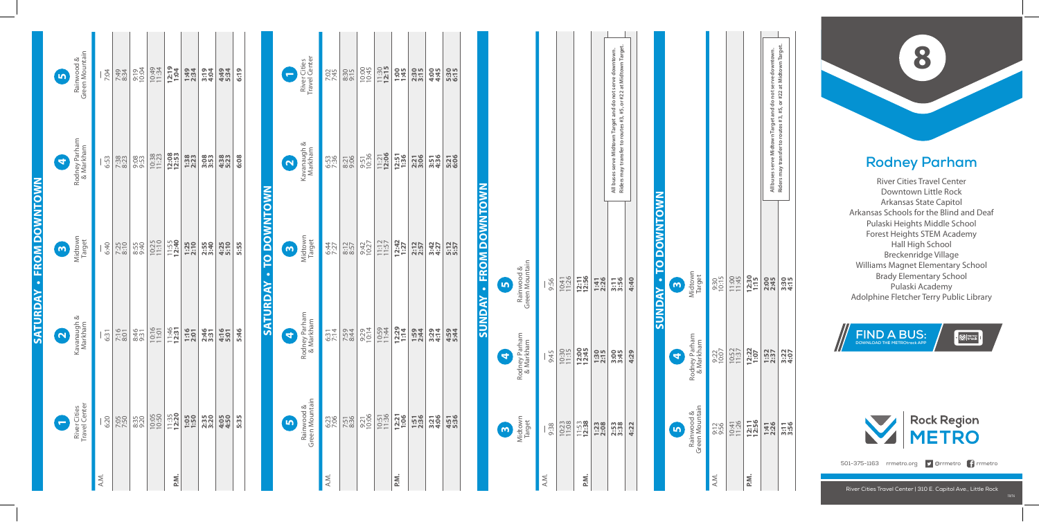## **Rodney Parham**

River Cities Travel Center Downtown Little Rock Arkansas State Capitol Arkansas Schools for the Blind and Deaf Pulaski Heights Middle School Forest Heights STEM Academy Hall High School Breckenridge Village Williams Magnet Elementary School Brady Elementary School Pulaski Academy **Rodney Parham**<br>
River Cities Travel Center<br>
Downtown Little Rock<br>
Arkansas State Capitol<br>
Arkansas Schools for the Blind and Dea<br>
Pulaski Heights Middle School<br>
Forest Heights STEM Academy<br>
Hall High School<br>
Breckenridge

**Sunday • to Downtown**

**SUNDAY - TO DOWNTOWN** 

|                 | 5                       | Rainwood &<br>Green Mountain  | 7:04 | 7:34<br>8:34 | 9:19<br>10:04 | 10:49<br>11:34 | 12:19<br>1:04    | 1:49<br>2:34 | 3:19<br>4:04 | 4:49<br>5:34 | 6:19 |                 | ÷                       | River Cities<br>Travel Center | 7:02         | $8:30$<br>$9:15$ | 10:00         | $11:30$<br>12:15   | 1:45            | 2:30         | 4:45         | 5:30<br>6:15 |                 |                       |                              |      |                |                  |                     |                                                                                                                             |
|-----------------|-------------------------|-------------------------------|------|--------------|---------------|----------------|------------------|--------------|--------------|--------------|------|-----------------|-------------------------|-------------------------------|--------------|------------------|---------------|--------------------|-----------------|--------------|--------------|--------------|-----------------|-----------------------|------------------------------|------|----------------|------------------|---------------------|-----------------------------------------------------------------------------------------------------------------------------|
|                 | 4                       | Rodney Parham<br>& Markham    | 6:53 | 7:38<br>8:23 | 9:53          | 10:38          | 12:08            | 1:38         | 3:53         | 4:38         | 6:08 |                 | $\overline{\mathbf{N}}$ | Kavanaugh &<br>Markham        | 6:53<br>7:36 | 8:21             | 9:51<br>10:36 | $11:21$<br>12:06   | 12:51<br>1:36   | 2:21<br>3:06 | 3:51<br>4:36 | 5:21<br>6:06 |                 |                       |                              |      |                |                  |                     | Riders may transfer to routes #3, #5, or #22 at Midtown Target<br>All buses serve Midtown Target and do not serve downtown. |
| - FROM DOWNTOWN | $\mathbf{\omega}$       | Midtown<br>Target             | 6:40 | 7:25<br>8:10 | 8:55<br>9:40  | 10:25          | 11:55<br>12:40   | 1:25         | 2:55<br>3:40 | 4:25<br>5:10 | 5:55 | TO DOWNTOWN     | $\overline{\mathbf{c}}$ | Midtown<br>Target             | 6:44         | $8:12$<br>$8:57$ | 9:42<br>10:27 | $11:12$<br>$11:57$ | $12:42$<br>1:27 | 2:12<br>2:57 | 3:427        | 5:12<br>5:57 | - FROM DOWNTOWN | $\mathbf{r}$          | Rainwood &<br>Green Mountain | 9:56 | 10:41<br>11:26 | 12:11<br>12:56   | 1:41<br>2:26        | 3:56                                                                                                                        |
| SATURDAY        | $\overline{\mathbf{N}}$ | Kavanaugh &<br>Markham        | 6:31 | 7:16<br>8:01 | 8:46          | 10:16          | $11:46$<br>12:31 | 1:16         | 2:46         | 4:16         | 5:46 | <b>SATURDAY</b> | $\blacktriangleleft$    | Rodney Parham<br>& Markham    | 6:314        | 7:59<br>8:44     | 9:29<br>10:14 | 10:59<br>11:44     | $12:29$<br>1:14 | 1:59<br>2:44 | 3:29<br>4:14 | 4:59<br>5:44 | <b>SUNDAY</b>   | 4                     | Rodney Parham<br>& Markham   | 9:45 | 10:30          | 12:00<br>12:45   | <b>1:30</b><br>2:15 | 3:45                                                                                                                        |
|                 |                         | River Cities<br>Travel Center | 6:20 | 7:50         | 8:35          | 10:05          | $11:35$<br>12:20 | 1:50         | 2:35         | 4:50         | 5:35 |                 | <b>In</b>               | Rainwood &<br>Green Mountain  | 6:23         | 7:51<br>8:36     | 9:21<br>10:06 | 10:51<br>11:36     | 12:21           | 1:51<br>2:36 | 3:21<br>4:06 | 4:51<br>5:36 |                 | $\boldsymbol{\omega}$ | Midtown<br>Target            | 9:38 | 10:23          | $11:53$<br>12:38 | 1:23                | 2:53<br>3:38                                                                                                                |
|                 |                         |                               | A.M. |              |               |                | P.M.             |              |              |              |      |                 |                         |                               | A.M.         |                  |               |                    | P.M.            |              |              |              |                 |                       |                              | A.M. |                | P.M.             |                     |                                                                                                                             |

**4:22 4:29 4:40**

**5**

**4 3**

 $\bullet$ 

Midtown Target

Rodney Parham & Markham

Rodney Par<br>& Markha

Rainwood & Green Mountain

Rainwood &

Ġ

 $rac{1}{\sqrt{2}}$ 



 $\cdot$   $\boxtimes$  Herro I



501-375-1163 rrmetro.org **9** @rrmetro <sup>1</sup> rrmetro

|               |                                                                       |               | All buses serve Midtown Target and do not serve downtown. | Riders may transfer to routes #3, #5, or #22 at Midtown Target. |
|---------------|-----------------------------------------------------------------------|---------------|-----------------------------------------------------------|-----------------------------------------------------------------|
| 9:30<br>10:15 | 11:00<br>11:45                                                        | 12:30<br>1:15 | 2:00<br>2:45                                              | 3:30<br>4:15                                                    |
| 9:22<br>10:07 | 10:52<br>11:37                                                        | 12:22<br>1:07 | $1:52$<br>$2:37$                                          | 3:307<br>4:97                                                   |
|               | $\frac{0.756}{10.41}$<br>$\frac{0.41}{11.26}$<br>$\frac{0.41}{12.56}$ |               | 1:41<br>2:26                                              | 3:56                                                            |
| A.M.          |                                                                       | P.M.          |                                                           |                                                                 |

**All buses serve Midtown Target and do not serve downtown. Riders may transfer to routes #3, #5, or #22 at Midtown Target.**

All buses serve Midtown Target and do not serve downtown.<br>Riders may transfer to routes #3, #5, or #22 at Midtown Targe